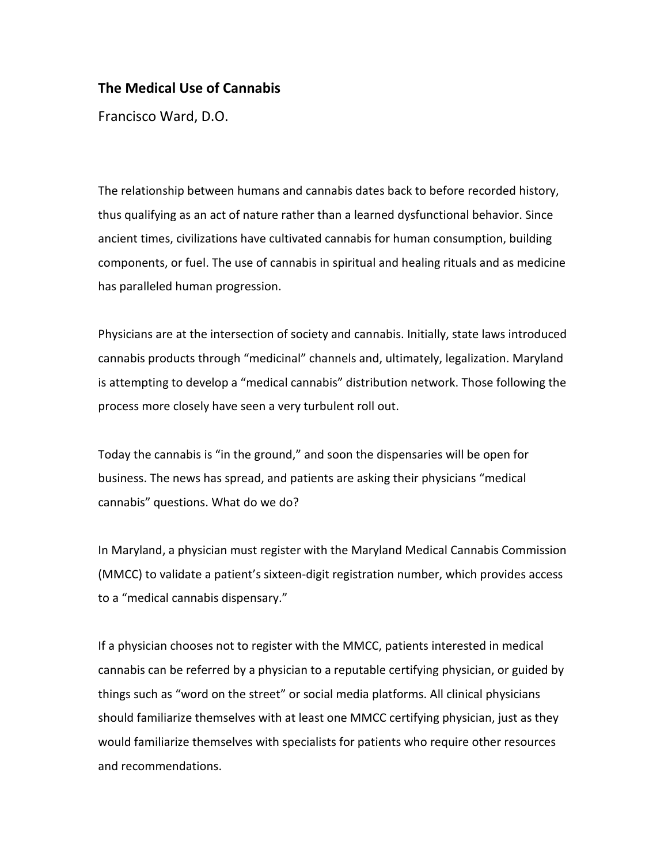## **The Medical Use of Cannabis**

Francisco Ward, D.O.

The relationship between humans and cannabis dates back to before recorded history, thus qualifying as an act of nature rather than a learned dysfunctional behavior. Since ancient times, civilizations have cultivated cannabis for human consumption, building components, or fuel. The use of cannabis in spiritual and healing rituals and as medicine has paralleled human progression.

Physicians are at the intersection of society and cannabis. Initially, state laws introduced cannabis products through "medicinal" channels and, ultimately, legalization. Maryland is attempting to develop a "medical cannabis" distribution network. Those following the process more closely have seen a very turbulent roll out.

Today the cannabis is "in the ground," and soon the dispensaries will be open for business. The news has spread, and patients are asking their physicians "medical cannabis" questions. What do we do?

In Maryland, a physician must register with the Maryland Medical Cannabis Commission (MMCC) to validate a patient's sixteen-digit registration number, which provides access to a "medical cannabis dispensary."

If a physician chooses not to register with the MMCC, patients interested in medical cannabis can be referred by a physician to a reputable certifying physician, or guided by things such as "word on the street" or social media platforms. All clinical physicians should familiarize themselves with at least one MMCC certifying physician, just as they would familiarize themselves with specialists for patients who require other resources and recommendations.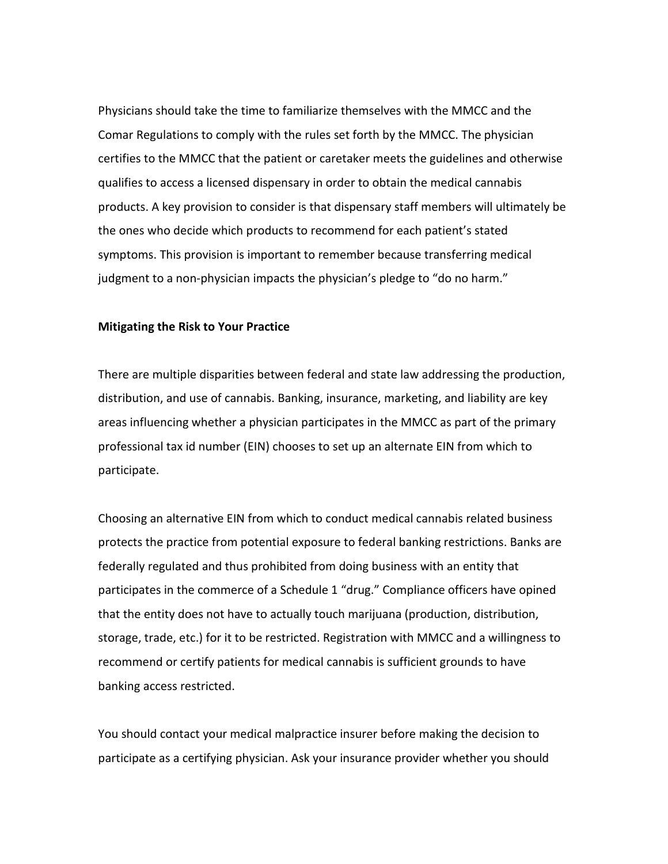Physicians should take the time to familiarize themselves with the MMCC and the Comar Regulations to comply with the rules set forth by the MMCC. The physician certifies to the MMCC that the patient or caretaker meets the guidelines and otherwise qualifies to access a licensed dispensary in order to obtain the medical cannabis products. A key provision to consider is that dispensary staff members will ultimately be the ones who decide which products to recommend for each patient's stated symptoms. This provision is important to remember because transferring medical judgment to a non-physician impacts the physician's pledge to "do no harm."

## **Mitigating the Risk to Your Practice**

There are multiple disparities between federal and state law addressing the production, distribution, and use of cannabis. Banking, insurance, marketing, and liability are key areas influencing whether a physician participates in the MMCC as part of the primary professional tax id number (EIN) chooses to set up an alternate EIN from which to participate.

Choosing an alternative EIN from which to conduct medical cannabis related business protects the practice from potential exposure to federal banking restrictions. Banks are federally regulated and thus prohibited from doing business with an entity that participates in the commerce of a Schedule 1 "drug." Compliance officers have opined that the entity does not have to actually touch marijuana (production, distribution, storage, trade, etc.) for it to be restricted. Registration with MMCC and a willingness to recommend or certify patients for medical cannabis is sufficient grounds to have banking access restricted.

You should contact your medical malpractice insurer before making the decision to participate as a certifying physician. Ask your insurance provider whether you should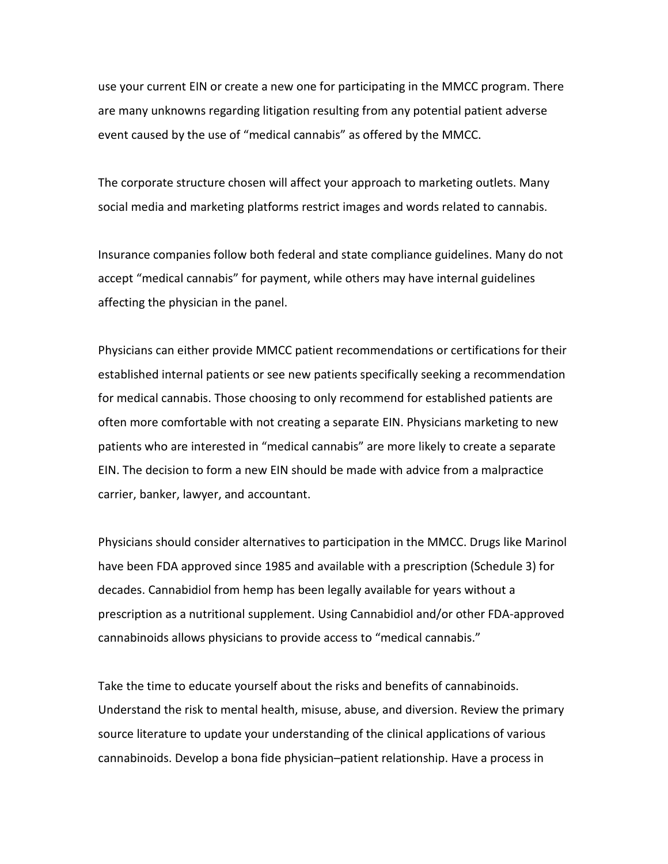use your current EIN or create a new one for participating in the MMCC program. There are many unknowns regarding litigation resulting from any potential patient adverse event caused by the use of "medical cannabis" as offered by the MMCC.

The corporate structure chosen will affect your approach to marketing outlets. Many social media and marketing platforms restrict images and words related to cannabis.

Insurance companies follow both federal and state compliance guidelines. Many do not accept "medical cannabis" for payment, while others may have internal guidelines affecting the physician in the panel.

Physicians can either provide MMCC patient recommendations or certifications for their established internal patients or see new patients specifically seeking a recommendation for medical cannabis. Those choosing to only recommend for established patients are often more comfortable with not creating a separate EIN. Physicians marketing to new patients who are interested in "medical cannabis" are more likely to create a separate EIN. The decision to form a new EIN should be made with advice from a malpractice carrier, banker, lawyer, and accountant.

Physicians should consider alternatives to participation in the MMCC. Drugs like Marinol have been FDA approved since 1985 and available with a prescription (Schedule 3) for decades. Cannabidiol from hemp has been legally available for years without a prescription as a nutritional supplement. Using Cannabidiol and/or other FDA-approved cannabinoids allows physicians to provide access to "medical cannabis."

Take the time to educate yourself about the risks and benefits of cannabinoids. Understand the risk to mental health, misuse, abuse, and diversion. Review the primary source literature to update your understanding of the clinical applications of various cannabinoids. Develop a bona fide physician–patient relationship. Have a process in